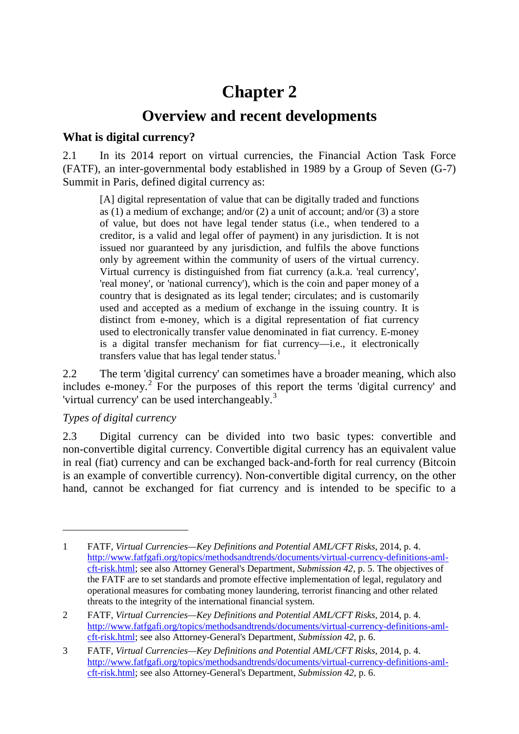# **Chapter 2**

# **Overview and recent developments**

# **What is digital currency?**

2.1 In its 2014 report on virtual currencies, the Financial Action Task Force (FATF), an inter-governmental body established in 1989 by a Group of Seven (G-7) Summit in Paris, defined digital currency as:

[A] digital representation of value that can be digitally traded and functions as (1) a medium of exchange; and/or (2) a unit of account; and/or (3) a store of value, but does not have legal tender status (i.e., when tendered to a creditor, is a valid and legal offer of payment) in any jurisdiction. It is not issued nor guaranteed by any jurisdiction, and fulfils the above functions only by agreement within the community of users of the virtual currency. Virtual currency is distinguished from fiat currency (a.k.a. 'real currency', 'real money', or 'national currency'), which is the coin and paper money of a country that is designated as its legal tender; circulates; and is customarily used and accepted as a medium of exchange in the issuing country. It is distinct from e-money, which is a digital representation of fiat currency used to electronically transfer value denominated in fiat currency. E-money is a digital transfer mechanism for fiat currency—i.e., it electronically transfers value that has legal tender status.<sup>[1](#page-0-0)</sup>

2.2 The term 'digital currency' can sometimes have a broader meaning, which also includes e-money. [2](#page-0-1) For the purposes of this report the terms 'digital currency' and 'virtual currency' can be used interchangeably.<sup>[3](#page-0-2)</sup>

# *Types of digital currency*

-

2.3 Digital currency can be divided into two basic types: convertible and non-convertible digital currency. Convertible digital currency has an equivalent value in real (fiat) currency and can be exchanged back-and-forth for real currency (Bitcoin is an example of convertible currency). Non-convertible digital currency, on the other hand, cannot be exchanged for fiat currency and is intended to be specific to a

<span id="page-0-0"></span><sup>1</sup> FATF, *Virtual Currencies—Key Definitions and Potential AML/CFT Risks*, 2014, p. 4. [http://www.fatfgafi.org/topics/methodsandtrends/documents/virtual-currency-definitions-aml](http://www.fatfgafi.org/topics/methodsandtrends/documents/virtual-currency-definitions-aml-cft-risk.html)[cft-risk.html;](http://www.fatfgafi.org/topics/methodsandtrends/documents/virtual-currency-definitions-aml-cft-risk.html) see also Attorney General's Department, *Submission 42*, p. 5. The objectives of the FATF are to set standards and promote effective implementation of legal, regulatory and operational measures for combating money laundering, terrorist financing and other related threats to the integrity of the international financial system.

<span id="page-0-1"></span><sup>2</sup> FATF, *Virtual Currencies—Key Definitions and Potential AML/CFT Risks*, 2014, p. 4. [http://www.fatfgafi.org/topics/methodsandtrends/documents/virtual-currency-definitions-aml](http://www.fatfgafi.org/topics/methodsandtrends/documents/virtual-currency-definitions-aml-cft-risk.html)[cft-risk.html;](http://www.fatfgafi.org/topics/methodsandtrends/documents/virtual-currency-definitions-aml-cft-risk.html) see also Attorney-General's Department, *Submission 42*, p. 6.

<span id="page-0-2"></span><sup>3</sup> FATF, *Virtual Currencies—Key Definitions and Potential AML/CFT Risks*, 2014, p. 4. [http://www.fatfgafi.org/topics/methodsandtrends/documents/virtual-currency-definitions-aml](http://www.fatfgafi.org/topics/methodsandtrends/documents/virtual-currency-definitions-aml-cft-risk.html)[cft-risk.html;](http://www.fatfgafi.org/topics/methodsandtrends/documents/virtual-currency-definitions-aml-cft-risk.html) see also Attorney-General's Department, *Submission 42*, p. 6.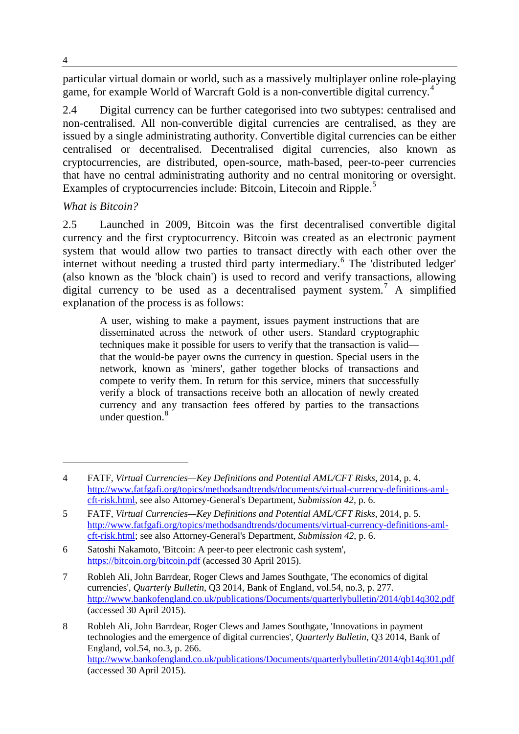particular virtual domain or world, such as a massively multiplayer online role-playing game, for example World of Warcraft Gold is a non-convertible digital currency.<sup>[4](#page-1-0)</sup>

2.4 Digital currency can be further categorised into two subtypes: centralised and non-centralised. All non-convertible digital currencies are centralised, as they are issued by a single administrating authority. Convertible digital currencies can be either centralised or decentralised. Decentralised digital currencies, also known as cryptocurrencies, are distributed, open-source, math-based, peer-to-peer currencies that have no central administrating authority and no central monitoring or oversight. Examples of cryptocurrencies include: Bitcoin, Litecoin and Ripple.<sup>[5](#page-1-1)</sup>

#### *What is Bitcoin?*

2.5 Launched in 2009, Bitcoin was the first decentralised convertible digital currency and the first cryptocurrency. Bitcoin was created as an electronic payment system that would allow two parties to transact directly with each other over the internet without needing a trusted third party intermediary.<sup>[6](#page-1-2)</sup> The 'distributed ledger' (also known as the 'block chain') is used to record and verify transactions, allowing digital currency to be used as a decentralised payment system.<sup>[7](#page-1-3)</sup> A simplified explanation of the process is as follows:

A user, wishing to make a payment, issues payment instructions that are disseminated across the network of other users. Standard cryptographic techniques make it possible for users to verify that the transaction is valid that the would-be payer owns the currency in question. Special users in the network, known as 'miners', gather together blocks of transactions and compete to verify them. In return for this service, miners that successfully verify a block of transactions receive both an allocation of newly created currency and any transaction fees offered by parties to the transactions under question.<sup>[8](#page-1-4)</sup>

<span id="page-1-0"></span><sup>4</sup> FATF, *Virtual Currencies—Key Definitions and Potential AML/CFT Risks*, 2014, p. 4. [http://www.fatfgafi.org/topics/methodsandtrends/documents/virtual-currency-definitions-aml](http://www.fatfgafi.org/topics/methodsandtrends/documents/virtual-currency-definitions-aml-cft-risk.html)[cft-risk.html,](http://www.fatfgafi.org/topics/methodsandtrends/documents/virtual-currency-definitions-aml-cft-risk.html) see also Attorney-General's Department, *Submission 42*, p. 6.

<span id="page-1-1"></span><sup>5</sup> FATF, *Virtual Currencies—Key Definitions and Potential AML/CFT Risks*, 2014, p. 5. [http://www.fatfgafi.org/topics/methodsandtrends/documents/virtual-currency-definitions-aml](http://www.fatfgafi.org/topics/methodsandtrends/documents/virtual-currency-definitions-aml-cft-risk.html)[cft-risk.html;](http://www.fatfgafi.org/topics/methodsandtrends/documents/virtual-currency-definitions-aml-cft-risk.html) see also Attorney-General's Department, *Submission 42*, p. 6.

<span id="page-1-2"></span><sup>6</sup> Satoshi Nakamoto, 'Bitcoin: A peer-to peer electronic cash system', <https://bitcoin.org/bitcoin.pdf> (accessed 30 April 2015).

<span id="page-1-3"></span><sup>7</sup> Robleh Ali, John Barrdear, Roger Clews and James Southgate, 'The economics of digital currencies', *Quarterly Bulletin*, Q3 2014, Bank of England, vol.54, no.3, p. 277. <http://www.bankofengland.co.uk/publications/Documents/quarterlybulletin/2014/qb14q302.pdf> (accessed 30 April 2015).

<span id="page-1-4"></span><sup>8</sup> Robleh Ali, John Barrdear, Roger Clews and James Southgate, 'Innovations in payment technologies and the emergence of digital currencies', *Quarterly Bulletin*, Q3 2014, Bank of England, vol.54, no.3, p. 266. <http://www.bankofengland.co.uk/publications/Documents/quarterlybulletin/2014/qb14q301.pdf> (accessed 30 April 2015).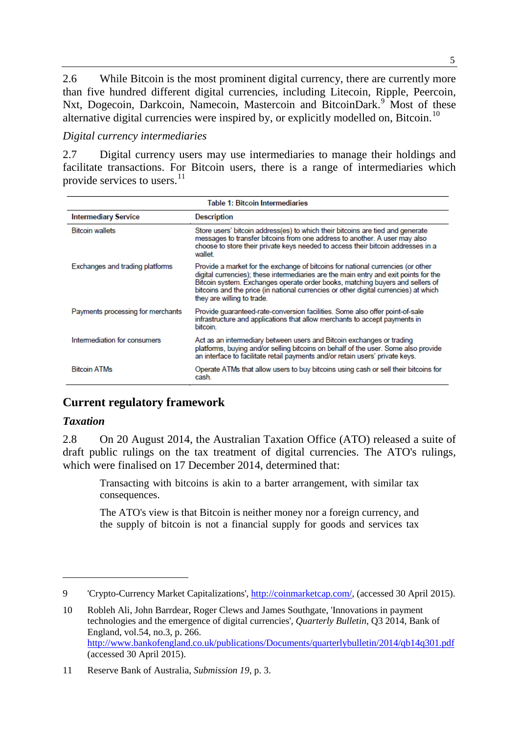2.6 While Bitcoin is the most prominent digital currency, there are currently more than five hundred different digital currencies, including Litecoin, Ripple, Peercoin, Nxt, Dogecoin, Darkcoin, Namecoin, Mastercoin and BitcoinDark.<sup>[9](#page-2-0)</sup> Most of these alternative digital currencies were inspired by, or explicitly modelled on, Bitcoin.<sup>10</sup>

#### *Digital currency intermediaries*

2.7 Digital currency users may use intermediaries to manage their holdings and facilitate transactions. For Bitcoin users, there is a range of intermediaries which provide services to users.<sup>[11](#page-2-2)</sup>

| <b>Table 1: Bitcoin Intermediaries</b> |                                                                                                                                                                                                                                                                                                                                                                                |
|----------------------------------------|--------------------------------------------------------------------------------------------------------------------------------------------------------------------------------------------------------------------------------------------------------------------------------------------------------------------------------------------------------------------------------|
| <b>Intermediary Service</b>            | <b>Description</b>                                                                                                                                                                                                                                                                                                                                                             |
| <b>Bitcoin wallets</b>                 | Store users' bitcoin address(es) to which their bitcoins are tied and generate<br>messages to transfer bitcoins from one address to another. A user may also<br>choose to store their private keys needed to access their bitcoin addresses in a<br>wallet                                                                                                                     |
| Exchanges and trading platforms        | Provide a market for the exchange of bitcoins for national currencies (or other<br>digital currencies); these intermediaries are the main entry and exit points for the<br>Bitcoin system. Exchanges operate order books, matching buyers and sellers of<br>bitcoins and the price (in national currencies or other digital currencies) at which<br>they are willing to trade. |
| Payments processing for merchants      | Provide quaranteed-rate-conversion facilities. Some also offer point-of-sale<br>infrastructure and applications that allow merchants to accept payments in<br><b>bitcoin</b>                                                                                                                                                                                                   |
| Intermediation for consumers           | Act as an intermediary between users and Bitcoin exchanges or trading<br>platforms, buying and/or selling bitcoins on behalf of the user. Some also provide<br>an interface to facilitate retail payments and/or retain users' private keys.                                                                                                                                   |
| <b>Bitcoin ATMs</b>                    | Operate ATMs that allow users to buy bitcoins using cash or sell their bitcoins for<br>cash.                                                                                                                                                                                                                                                                                   |

# **Current regulatory framework**

#### *Taxation*

-

2.8 On 20 August 2014, the Australian Taxation Office (ATO) released a suite of draft public rulings on the tax treatment of digital currencies. The ATO's rulings, which were finalised on 17 December 2014, determined that:

Transacting with bitcoins is akin to a barter arrangement, with similar tax consequences.

The ATO's view is that Bitcoin is neither money nor a foreign currency, and the supply of bitcoin is not a financial supply for goods and services tax

<span id="page-2-0"></span><sup>9</sup> 'Crypto-Currency Market Capitalizations', [http://coinmarketcap.com/,](http://coinmarketcap.com/) (accessed 30 April 2015).

<span id="page-2-1"></span><sup>10</sup> Robleh Ali, John Barrdear, Roger Clews and James Southgate, 'Innovations in payment technologies and the emergence of digital currencies', *Quarterly Bulletin*, Q3 2014, Bank of England, vol.54, no.3, p. 266. <http://www.bankofengland.co.uk/publications/Documents/quarterlybulletin/2014/qb14q301.pdf> (accessed 30 April 2015).

<span id="page-2-2"></span><sup>11</sup> Reserve Bank of Australia, *Submission 19*, p. 3.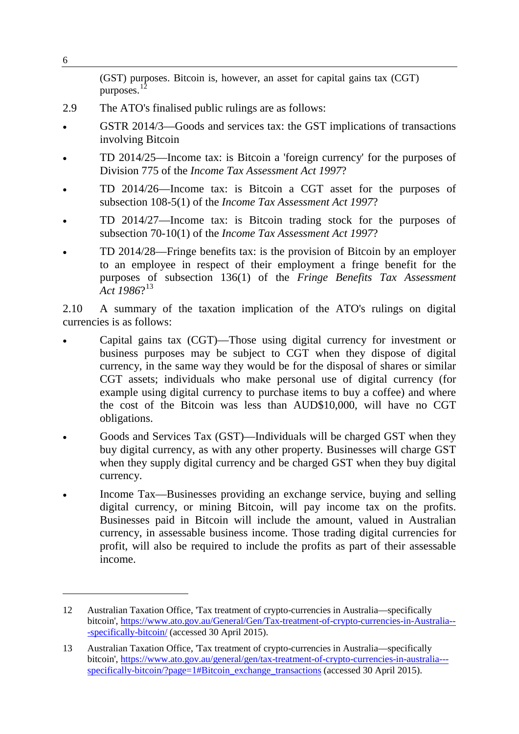|      | (GST) purposes. Bitcoin is, however, an asset for capital gains tax (CGT)<br>purposes.                                                                                                                                                                   |
|------|----------------------------------------------------------------------------------------------------------------------------------------------------------------------------------------------------------------------------------------------------------|
| 2.9  | The ATO's finalised public rulings are as follows:                                                                                                                                                                                                       |
|      | GSTR 2014/3—Goods and services tax: the GST implications of transactions<br>involving Bitcoin                                                                                                                                                            |
|      | TD 2014/25—Income tax: is Bitcoin a 'foreign currency' for the purposes of<br>Division 775 of the <i>Income Tax Assessment Act 1997</i> ?                                                                                                                |
|      | TD 2014/26—Income tax: is Bitcoin a CGT asset for the purposes of<br>subsection 108-5(1) of the <i>Income Tax Assessment Act 1997</i> ?                                                                                                                  |
|      | TD 2014/27—Income tax: is Bitcoin trading stock for the purposes of<br>subsection 70-10(1) of the <i>Income Tax Assessment Act 1997</i> ?                                                                                                                |
|      | TD 2014/28—Fringe benefits tax: is the provision of Bitcoin by an employer<br>to an employee in respect of their employment a fringe benefit for the<br>purposes of subsection 136(1) of the Fringe Benefits Tax Assessment<br>$Act$ 1986? <sup>13</sup> |
| 2.10 | A summary of the taxation implication of the ATO's rulings on digital<br>currencies is as follows:                                                                                                                                                       |

6

- Capital gains tax (CGT)—Those using digital currency for investment or business purposes may be subject to CGT when they dispose of digital currency, in the same way they would be for the disposal of shares or similar CGT assets; individuals who make personal use of digital currency (for example using digital currency to purchase items to buy a coffee) and where the cost of the Bitcoin was less than AUD\$10,000, will have no CGT obligations.
- Goods and Services Tax (GST)—Individuals will be charged GST when they buy digital currency, as with any other property. Businesses will charge GST when they supply digital currency and be charged GST when they buy digital currency.
- Income Tax—Businesses providing an exchange service, buying and selling digital currency, or mining Bitcoin, will pay income tax on the profits. Businesses paid in Bitcoin will include the amount, valued in Australian currency, in assessable business income. Those trading digital currencies for profit, will also be required to include the profits as part of their assessable income.

<span id="page-3-0"></span><sup>12</sup> Australian Taxation Office, 'Tax treatment of crypto-currencies in Australia—specifically bitcoin', [https://www.ato.gov.au/General/Gen/Tax-treatment-of-crypto-currencies-in-Australia--](https://www.ato.gov.au/General/Gen/Tax-treatment-of-crypto-currencies-in-Australia---specifically-bitcoin/) [-specifically-bitcoin/](https://www.ato.gov.au/General/Gen/Tax-treatment-of-crypto-currencies-in-Australia---specifically-bitcoin/) (accessed 30 April 2015).

<span id="page-3-1"></span><sup>13</sup> Australian Taxation Office, 'Tax treatment of crypto-currencies in Australia—specifically bitcoin', [https://www.ato.gov.au/general/gen/tax-treatment-of-crypto-currencies-in-australia--](https://www.ato.gov.au/general/gen/tax-treatment-of-crypto-currencies-in-australia---specifically-bitcoin/?page=1%23Bitcoin_exchange_transactions) [specifically-bitcoin/?page=1#Bitcoin\\_exchange\\_transactions](https://www.ato.gov.au/general/gen/tax-treatment-of-crypto-currencies-in-australia---specifically-bitcoin/?page=1%23Bitcoin_exchange_transactions) (accessed 30 April 2015).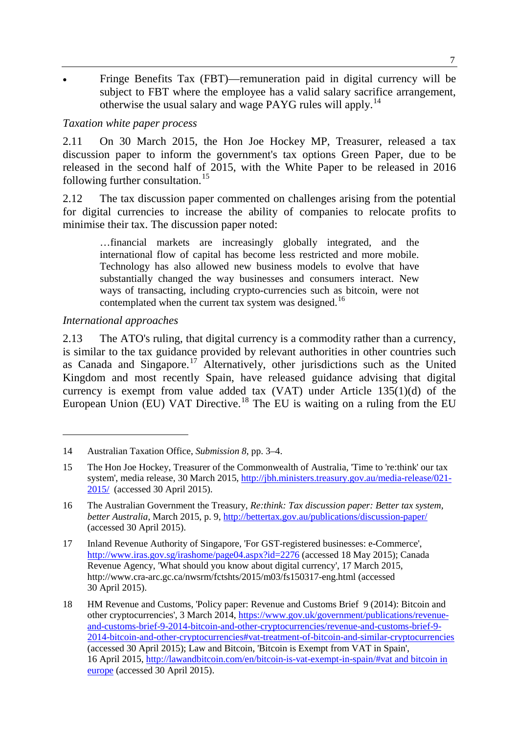• Fringe Benefits Tax (FBT)—remuneration paid in digital currency will be subject to FBT where the employee has a valid salary sacrifice arrangement, otherwise the usual salary and wage PAYG rules will apply.[14](#page-4-0)

#### *Taxation white paper process*

2.11 On 30 March 2015, the Hon Joe Hockey MP, Treasurer, released a tax discussion paper to inform the government's tax options Green Paper, due to be released in the second half of 2015, with the White Paper to be released in 2016 following further consultation.<sup>[15](#page-4-1)</sup>

2.12 The tax discussion paper commented on challenges arising from the potential for digital currencies to increase the ability of companies to relocate profits to minimise their tax. The discussion paper noted:

…financial markets are increasingly globally integrated, and the international flow of capital has become less restricted and more mobile. Technology has also allowed new business models to evolve that have substantially changed the way businesses and consumers interact. New ways of transacting, including crypto-currencies such as bitcoin, were not contemplated when the current tax system was designed.<sup>[16](#page-4-2)</sup>

#### *International approaches*

-

2.13 The ATO's ruling, that digital currency is a commodity rather than a currency, is similar to the tax guidance provided by relevant authorities in other countries such as Canada and Singapore.<sup>[17](#page-4-3)</sup> Alternatively, other jurisdictions such as the United Kingdom and most recently Spain, have released guidance advising that digital currency is exempt from value added tax (VAT) under Article 135(1)(d) of the European Union (EU) VAT Directive.<sup>[18](#page-4-4)</sup> The EU is waiting on a ruling from the EU

<span id="page-4-0"></span><sup>14</sup> Australian Taxation Office, *Submission 8*, pp. 3–4.

<span id="page-4-1"></span><sup>15</sup> The Hon Joe Hockey, Treasurer of the Commonwealth of Australia, 'Time to 're:think' our tax system', media release, 30 March 2015, [http://jbh.ministers.treasury.gov.au/media-release/021-](http://jbh.ministers.treasury.gov.au/media-release/021-2015/) [2015/](http://jbh.ministers.treasury.gov.au/media-release/021-2015/) (accessed 30 April 2015).

<span id="page-4-2"></span><sup>16</sup> The Australian Government the Treasury, *Re:think: Tax discussion paper: Better tax system, better Australia*, March 2015, p. 9,<http://bettertax.gov.au/publications/discussion-paper/> (accessed 30 April 2015).

<span id="page-4-3"></span><sup>17</sup> Inland Revenue Authority of Singapore, 'For GST-registered businesses: e-Commerce', <http://www.iras.gov.sg/irashome/page04.aspx?id=2276> (accessed 18 May 2015); Canada Revenue Agency, 'What should you know about digital currency', 17 March 2015, http://www.cra-arc.gc.ca/nwsrm/fctshts/2015/m03/fs150317-eng.html (accessed 30 April 2015).

<span id="page-4-4"></span><sup>18</sup> HM Revenue and Customs, 'Policy paper: Revenue and Customs Brief 9 (2014): Bitcoin and other cryptocurrencies', 3 March 2014, [https://www.gov.uk/government/publications/revenue](https://www.gov.uk/government/publications/revenue-and-customs-brief-9-2014-bitcoin-and-other-cryptocurrencies/revenue-and-customs-brief-9-2014-bitcoin-and-other-cryptocurrencies%23vat-treatment-of-bitcoin-and-similar-cryptocurrencies)[and-customs-brief-9-2014-bitcoin-and-other-cryptocurrencies/revenue-and-customs-brief-9-](https://www.gov.uk/government/publications/revenue-and-customs-brief-9-2014-bitcoin-and-other-cryptocurrencies/revenue-and-customs-brief-9-2014-bitcoin-and-other-cryptocurrencies%23vat-treatment-of-bitcoin-and-similar-cryptocurrencies) [2014-bitcoin-and-other-cryptocurrencies#vat-treatment-of-bitcoin-and-similar-cryptocurrencies](https://www.gov.uk/government/publications/revenue-and-customs-brief-9-2014-bitcoin-and-other-cryptocurrencies/revenue-and-customs-brief-9-2014-bitcoin-and-other-cryptocurrencies%23vat-treatment-of-bitcoin-and-similar-cryptocurrencies) (accessed 30 April 2015); Law and Bitcoin, 'Bitcoin is Exempt from VAT in Spain', 16 April 2015, [http://lawandbitcoin.com/en/bitcoin-is-vat-exempt-in-spain/#vat and bitcoin in](http://lawandbitcoin.com/en/bitcoin-is-vat-exempt-in-spain/%23vat%20and%20bitcoin%20in%20europe)  [europe](http://lawandbitcoin.com/en/bitcoin-is-vat-exempt-in-spain/%23vat%20and%20bitcoin%20in%20europe) (accessed 30 April 2015).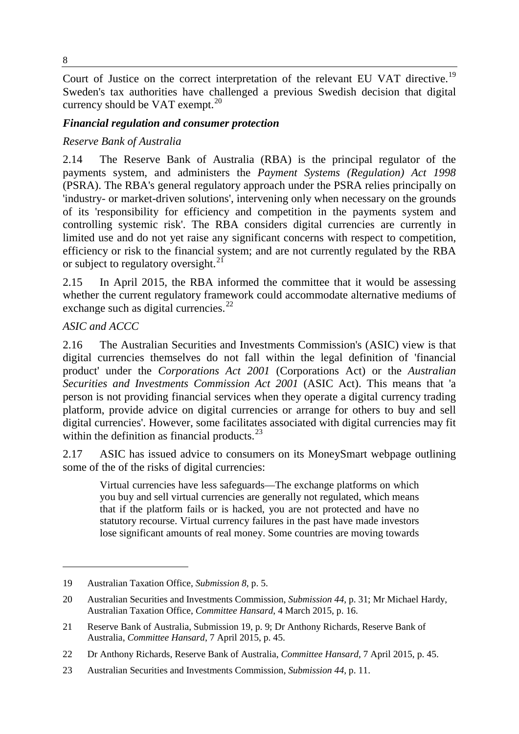Court of Justice on the correct interpretation of the relevant EU VAT directive.<sup>[19](#page-5-0)</sup> Sweden's tax authorities have challenged a previous Swedish decision that digital currency should be VAT exempt. $20$ 

#### *Financial regulation and consumer protection*

#### *Reserve Bank of Australia*

2.14 The Reserve Bank of Australia (RBA) is the principal regulator of the payments system, and administers the *Payment Systems (Regulation) Act 1998* (PSRA). The RBA's general regulatory approach under the PSRA relies principally on 'industry- or market-driven solutions', intervening only when necessary on the grounds of its 'responsibility for efficiency and competition in the payments system and controlling systemic risk'. The RBA considers digital currencies are currently in limited use and do not yet raise any significant concerns with respect to competition, efficiency or risk to the financial system; and are not currently regulated by the RBA or subject to regulatory oversight.<sup>[21](#page-5-2)</sup>

2.15 In April 2015, the RBA informed the committee that it would be assessing whether the current regulatory framework could accommodate alternative mediums of exchange such as digital currencies.<sup>[22](#page-5-3)</sup>

#### *ASIC and ACCC*

-

2.16 The Australian Securities and Investments Commission's (ASIC) view is that digital currencies themselves do not fall within the legal definition of 'financial product' under the *Corporations Act 2001* (Corporations Act) or the *Australian Securities and Investments Commission Act 2001* (ASIC Act). This means that 'a person is not providing financial services when they operate a digital currency trading platform, provide advice on digital currencies or arrange for others to buy and sell digital currencies'. However, some facilitates associated with digital currencies may fit within the definition as financial products. $^{23}$  $^{23}$  $^{23}$ 

2.17 ASIC has issued advice to consumers on its MoneySmart webpage outlining some of the of the risks of digital currencies:

Virtual currencies have less safeguards—The exchange platforms on which you buy and sell virtual currencies are generally not regulated, which means that if the platform fails or is hacked, you are not protected and have no statutory recourse. Virtual currency failures in the past have made investors lose significant amounts of real money. Some countries are moving towards

<span id="page-5-0"></span><sup>19</sup> Australian Taxation Office, *Submission 8*, p. 5.

<span id="page-5-1"></span><sup>20</sup> Australian Securities and Investments Commission, *Submission 44*, p. 31; Mr Michael Hardy, Australian Taxation Office, *Committee Hansard*, 4 March 2015, p. 16.

<span id="page-5-2"></span><sup>21</sup> Reserve Bank of Australia, Submission 19, p. 9; Dr Anthony Richards, Reserve Bank of Australia, *Committee Hansard*, 7 April 2015, p. 45.

<span id="page-5-3"></span><sup>22</sup> Dr Anthony Richards, Reserve Bank of Australia, *Committee Hansard*, 7 April 2015, p. 45.

<span id="page-5-4"></span><sup>23</sup> Australian Securities and Investments Commission, *Submission 44*, p. 11.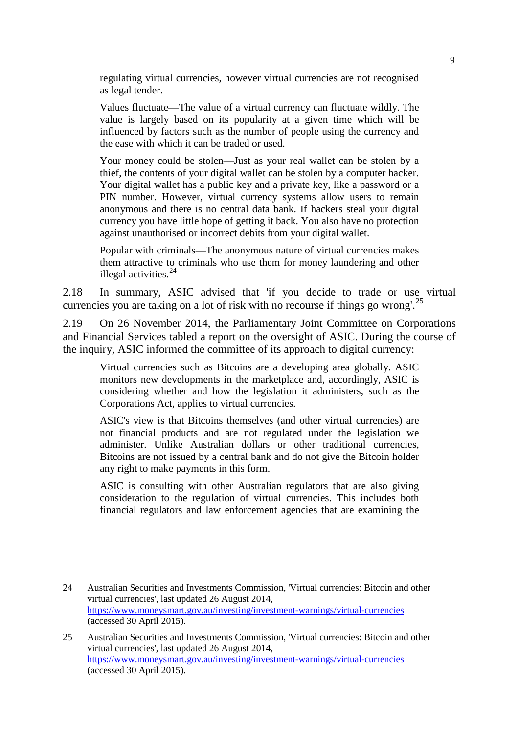regulating virtual currencies, however virtual currencies are not recognised as legal tender.

Values fluctuate—The value of a virtual currency can fluctuate wildly. The value is largely based on its popularity at a given time which will be influenced by factors such as the number of people using the currency and the ease with which it can be traded or used.

Your money could be stolen—Just as your real wallet can be stolen by a thief, the contents of your digital wallet can be stolen by a computer hacker. Your digital wallet has a public key and a private key, like a password or a PIN number. However, virtual currency systems allow users to remain anonymous and there is no central data bank. If hackers steal your digital currency you have little hope of getting it back. You also have no protection against unauthorised or incorrect debits from your digital wallet.

Popular with criminals—The anonymous nature of virtual currencies makes them attractive to criminals who use them for money laundering and other illegal activities. [24](#page-6-0)

2.18 In summary, ASIC advised that 'if you decide to trade or use virtual currencies you are taking on a lot of risk with no recourse if things go wrong'.<sup>[25](#page-6-1)</sup>

2.19 On 26 November 2014, the Parliamentary Joint Committee on Corporations and Financial Services tabled a report on the oversight of ASIC. During the course of the inquiry, ASIC informed the committee of its approach to digital currency:

Virtual currencies such as Bitcoins are a developing area globally. ASIC monitors new developments in the marketplace and, accordingly, ASIC is considering whether and how the legislation it administers, such as the Corporations Act, applies to virtual currencies.

ASIC's view is that Bitcoins themselves (and other virtual currencies) are not financial products and are not regulated under the legislation we administer. Unlike Australian dollars or other traditional currencies, Bitcoins are not issued by a central bank and do not give the Bitcoin holder any right to make payments in this form.

ASIC is consulting with other Australian regulators that are also giving consideration to the regulation of virtual currencies. This includes both financial regulators and law enforcement agencies that are examining the

<span id="page-6-0"></span><sup>24</sup> Australian Securities and Investments Commission, 'Virtual currencies: Bitcoin and other virtual currencies', last updated 26 August 2014, <https://www.moneysmart.gov.au/investing/investment-warnings/virtual-currencies> (accessed 30 April 2015).

<span id="page-6-1"></span><sup>25</sup> Australian Securities and Investments Commission, 'Virtual currencies: Bitcoin and other virtual currencies', last updated 26 August 2014, <https://www.moneysmart.gov.au/investing/investment-warnings/virtual-currencies> (accessed 30 April 2015).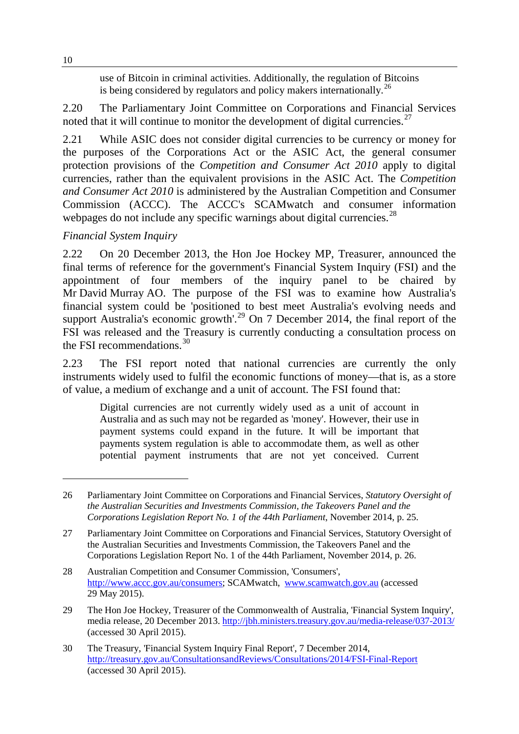use of Bitcoin in criminal activities. Additionally, the regulation of Bitcoins is being considered by regulators and policy makers internationally.<sup>[26](#page-7-0)</sup>

2.20 The Parliamentary Joint Committee on Corporations and Financial Services noted that it will continue to monitor the development of digital currencies.<sup>[27](#page-7-1)</sup>

2.21 While ASIC does not consider digital currencies to be currency or money for the purposes of the Corporations Act or the ASIC Act, the general consumer protection provisions of the *Competition and Consumer Act 2010* apply to digital currencies, rather than the equivalent provisions in the ASIC Act. The *Competition and Consumer Act 2010* is administered by the Australian Competition and Consumer Commission (ACCC). The ACCC's SCAMwatch and consumer information webpages do not include any specific warnings about digital currencies.<sup>[28](#page-7-2)</sup>

# *Financial System Inquiry*

2.22 On 20 December 2013, the Hon Joe Hockey MP, Treasurer, announced the final terms of reference for the government's Financial System Inquiry (FSI) and the appointment of four members of the inquiry panel to be chaired by Mr David Murray AO. The purpose of the FSI was to examine how Australia's financial system could be 'positioned to best meet Australia's evolving needs and support Australia's economic growth'.<sup>[29](#page-7-3)</sup> On 7 December 2014, the final report of the FSI was released and the Treasury is currently conducting a consultation process on the FSI recommendations.<sup>[30](#page-7-4)</sup>

2.23 The FSI report noted that national currencies are currently the only instruments widely used to fulfil the economic functions of money—that is, as a store of value, a medium of exchange and a unit of account. The FSI found that:

Digital currencies are not currently widely used as a unit of account in Australia and as such may not be regarded as 'money'. However, their use in payment systems could expand in the future. It will be important that payments system regulation is able to accommodate them, as well as other potential payment instruments that are not yet conceived. Current

<span id="page-7-0"></span><sup>26</sup> Parliamentary Joint Committee on Corporations and Financial Services, *Statutory Oversight of the Australian Securities and Investments Commission, the Takeovers Panel and the Corporations Legislation Report No. 1 of the 44th Parliament*, November 2014, p. 25.

<span id="page-7-1"></span><sup>27</sup> Parliamentary Joint Committee on Corporations and Financial Services, Statutory Oversight of the Australian Securities and Investments Commission, the Takeovers Panel and the Corporations Legislation Report No. 1 of the 44th Parliament, November 2014, p. 26.

<span id="page-7-2"></span><sup>28</sup> Australian Competition and Consumer Commission, 'Consumers', [http://www.accc.gov.au/consumers;](http://www.accc.gov.au/consumers) SCAMwatch, [www.scamwatch.gov.au](http://www.scamwatch.gov.au/) (accessed 29 May 2015).

<span id="page-7-3"></span><sup>29</sup> The Hon Joe Hockey, Treasurer of the Commonwealth of Australia, 'Financial System Inquiry', media release, 20 December 2013. <http://jbh.ministers.treasury.gov.au/media-release/037-2013/> (accessed 30 April 2015).

<span id="page-7-4"></span><sup>30</sup> The Treasury, 'Financial System Inquiry Final Report', 7 December 2014, <http://treasury.gov.au/ConsultationsandReviews/Consultations/2014/FSI-Final-Report> (accessed 30 April 2015).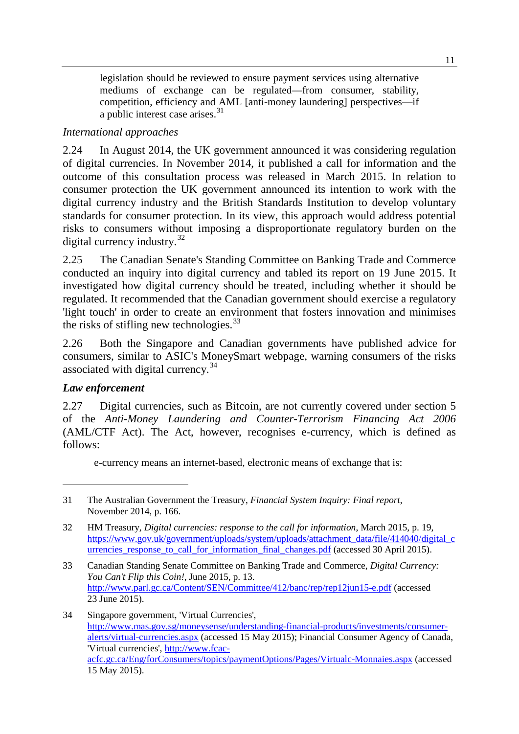legislation should be reviewed to ensure payment services using alternative mediums of exchange can be regulated—from consumer, stability, competition, efficiency and AML [anti-money laundering] perspectives—if a public interest case arises.<sup>[31](#page-8-0)</sup>

#### *International approaches*

2.24 In August 2014, the UK government announced it was considering regulation of digital currencies. In November 2014, it published a call for information and the outcome of this consultation process was released in March 2015. In relation to consumer protection the UK government announced its intention to work with the digital currency industry and the British Standards Institution to develop voluntary standards for consumer protection. In its view, this approach would address potential risks to consumers without imposing a disproportionate regulatory burden on the digital currency industry.<sup>[32](#page-8-1)</sup>

2.25 The Canadian Senate's Standing Committee on Banking Trade and Commerce conducted an inquiry into digital currency and tabled its report on 19 June 2015. It investigated how digital currency should be treated, including whether it should be regulated. It recommended that the Canadian government should exercise a regulatory 'light touch' in order to create an environment that fosters innovation and minimises the risks of stifling new technologies.<sup>[33](#page-8-2)</sup>

2.26 Both the Singapore and Canadian governments have published advice for consumers, similar to ASIC's MoneySmart webpage, warning consumers of the risks associated with digital currency.<sup>[34](#page-8-3)</sup>

#### *Law enforcement*

-

2.27 Digital currencies, such as Bitcoin, are not currently covered under section 5 of the *Anti-Money Laundering and Counter-Terrorism Financing Act 2006* (AML/CTF Act). The Act, however, recognises e-currency, which is defined as follows:

e-currency means an internet-based, electronic means of exchange that is:

<span id="page-8-0"></span><sup>31</sup> The Australian Government the Treasury, *Financial System Inquiry: Final report*, November 2014, p. 166.

<span id="page-8-1"></span><sup>32</sup> HM Treasury, *Digital currencies: response to the call for information*, March 2015, p. 19, [https://www.gov.uk/government/uploads/system/uploads/attachment\\_data/file/414040/digital\\_c](https://www.gov.uk/government/uploads/system/uploads/attachment_data/file/414040/digital_currencies_response_to_call_for_information_final_changes.pdf) urrencies response to call for information final changes.pdf (accessed 30 April 2015).

<span id="page-8-2"></span><sup>33</sup> Canadian Standing Senate Committee on Banking Trade and Commerce, *Digital Currency: You Can't Flip this Coin!*, June 2015, p. 13. <http://www.parl.gc.ca/Content/SEN/Committee/412/banc/rep/rep12jun15-e.pdf> (accessed 23 June 2015).

<span id="page-8-3"></span><sup>34</sup> Singapore government, 'Virtual Currencies', [http://www.mas.gov.sg/moneysense/understanding-financial-products/investments/consumer](http://www.mas.gov.sg/moneysense/understanding-financial-products/investments/consumer-alerts/virtual-currencies.aspx)[alerts/virtual-currencies.aspx](http://www.mas.gov.sg/moneysense/understanding-financial-products/investments/consumer-alerts/virtual-currencies.aspx) (accessed 15 May 2015); Financial Consumer Agency of Canada, 'Virtual currencies', [http://www.fcac](http://www.fcac-acfc.gc.ca/Eng/forConsumers/topics/paymentOptions/Pages/Virtualc-Monnaies.aspx)[acfc.gc.ca/Eng/forConsumers/topics/paymentOptions/Pages/Virtualc-Monnaies.aspx](http://www.fcac-acfc.gc.ca/Eng/forConsumers/topics/paymentOptions/Pages/Virtualc-Monnaies.aspx) (accessed 15 May 2015).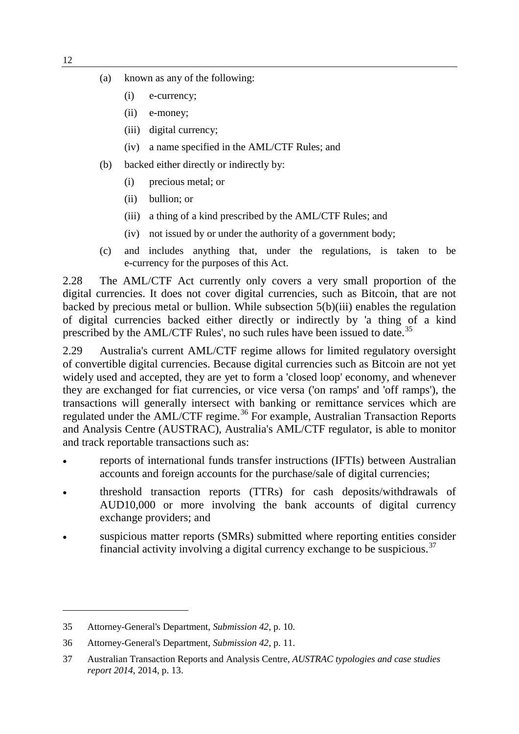- (a) known as any of the following:
	- (i) e-currency;
	- (ii) e-money;
	- (iii) digital currency;
	- (iv) a name specified in the AML/CTF Rules; and
- (b) backed either directly or indirectly by:
	- (i) precious metal; or
	- (ii) bullion; or
	- (iii) a thing of a kind prescribed by the AML/CTF Rules; and
	- (iv) not issued by or under the authority of a government body;
- (c) and includes anything that, under the regulations, is taken to be e-currency for the purposes of this Act.

2.28 The AML/CTF Act currently only covers a very small proportion of the digital currencies. It does not cover digital currencies, such as Bitcoin, that are not backed by precious metal or bullion. While subsection 5(b)(iii) enables the regulation of digital currencies backed either directly or indirectly by 'a thing of a kind prescribed by the AML/CTF Rules', no such rules have been issued to date.<sup>[35](#page-9-0)</sup>

2.29 Australia's current AML/CTF regime allows for limited regulatory oversight of convertible digital currencies. Because digital currencies such as Bitcoin are not yet widely used and accepted, they are yet to form a 'closed loop' economy, and whenever they are exchanged for fiat currencies, or vice versa ('on ramps' and 'off ramps'), the transactions will generally intersect with banking or remittance services which are regulated under the AML/CTF regime.<sup>[36](#page-9-1)</sup> For example, Australian Transaction Reports and Analysis Centre (AUSTRAC), Australia's AML/CTF regulator, is able to monitor and track reportable transactions such as:

- reports of international funds transfer instructions (IFTIs) between Australian accounts and foreign accounts for the purchase/sale of digital currencies;
- threshold transaction reports (TTRs) for cash deposits/withdrawals of AUD10,000 or more involving the bank accounts of digital currency exchange providers; and
- suspicious matter reports (SMRs) submitted where reporting entities consider financial activity involving a digital currency exchange to be suspicious.<sup>[37](#page-9-2)</sup>

<span id="page-9-0"></span><sup>35</sup> Attorney-General's Department, *Submission 42*, p. 10.

<span id="page-9-1"></span><sup>36</sup> Attorney-General's Department, *Submission 42*, p. 11.

<span id="page-9-2"></span><sup>37</sup> Australian Transaction Reports and Analysis Centre, *AUSTRAC typologies and case studies report 2014*, 2014, p. 13.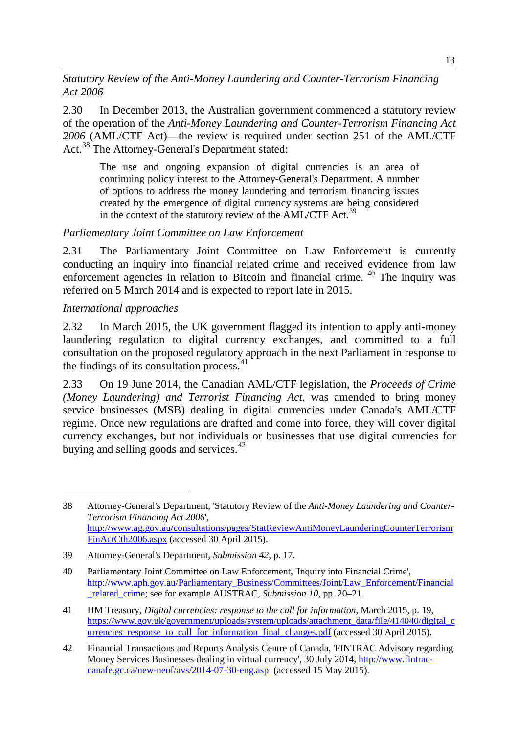*Statutory Review of the Anti-Money Laundering and Counter-Terrorism Financing Act 2006*

2.30 In December 2013, the Australian government commenced a statutory review of the operation of the *Anti-Money Laundering and Counter-Terrorism Financing Act 2006* (AML/CTF Act)—the review is required under section 251 of the AML/CTF Act.<sup>[38](#page-10-0)</sup> The Attorney-General's Department stated:

The use and ongoing expansion of digital currencies is an area of continuing policy interest to the Attorney-General's Department. A number of options to address the money laundering and terrorism financing issues created by the emergence of digital currency systems are being considered in the context of the statutory review of the AML/CTF Act.<sup>[39](#page-10-1)</sup>

*Parliamentary Joint Committee on Law Enforcement*

2.31 The Parliamentary Joint Committee on Law Enforcement is currently conducting an inquiry into financial related crime and received evidence from law enforcement agencies in relation to Bitcoin and financial crime. [40](#page-10-2) The inquiry was referred on 5 March 2014 and is expected to report late in 2015.

*International approaches*

-

2.32 In March 2015, the UK government flagged its intention to apply anti-money laundering regulation to digital currency exchanges, and committed to a full consultation on the proposed regulatory approach in the next Parliament in response to the findings of its consultation process. [41](#page-10-3)

2.33 On 19 June 2014, the Canadian AML/CTF legislation, the *Proceeds of Crime (Money Laundering) and Terrorist Financing Act*, was amended to bring money service businesses (MSB) dealing in digital currencies under Canada's AML/CTF regime. Once new regulations are drafted and come into force, they will cover digital currency exchanges, but not individuals or businesses that use digital currencies for buying and selling goods and services. $42$ 

<span id="page-10-0"></span><sup>38</sup> Attorney-General's Department, 'Statutory Review of the *Anti-Money Laundering and Counter-Terrorism Financing Act 2006*', [http://www.ag.gov.au/consultations/pages/StatReviewAntiMoneyLaunderingCounterTerrorism](http://www.ag.gov.au/consultations/pages/StatReviewAntiMoneyLaunderingCounterTerrorismFinActCth2006.aspx) [FinActCth2006.aspx](http://www.ag.gov.au/consultations/pages/StatReviewAntiMoneyLaunderingCounterTerrorismFinActCth2006.aspx) (accessed 30 April 2015).

<span id="page-10-1"></span><sup>39</sup> Attorney-General's Department, *Submission 42*, p. 17.

<span id="page-10-2"></span><sup>40</sup> Parliamentary Joint Committee on Law Enforcement, 'Inquiry into Financial Crime', [http://www.aph.gov.au/Parliamentary\\_Business/Committees/Joint/Law\\_Enforcement/Financial](http://www.aph.gov.au/Parliamentary_Business/Committees/Joint/Law_Enforcement/Financial_related_crime) [\\_related\\_crime;](http://www.aph.gov.au/Parliamentary_Business/Committees/Joint/Law_Enforcement/Financial_related_crime) see for example AUSTRAC, *Submission 10*, pp. 20–21.

<span id="page-10-3"></span><sup>41</sup> HM Treasury, *Digital currencies: response to the call for information*, March 2015, p. 19, [https://www.gov.uk/government/uploads/system/uploads/attachment\\_data/file/414040/digital\\_c](https://www.gov.uk/government/uploads/system/uploads/attachment_data/file/414040/digital_currencies_response_to_call_for_information_final_changes.pdf) [urrencies\\_response\\_to\\_call\\_for\\_information\\_final\\_changes.pdf](https://www.gov.uk/government/uploads/system/uploads/attachment_data/file/414040/digital_currencies_response_to_call_for_information_final_changes.pdf) (accessed 30 April 2015).

<span id="page-10-4"></span><sup>42</sup> Financial Transactions and Reports Analysis Centre of Canada, 'FINTRAC Advisory regarding Money Services Businesses dealing in virtual currency', 30 July 2014, [http://www.fintrac](http://www.fintrac-canafe.gc.ca/new-neuf/avs/2014-07-30-eng.asp)[canafe.gc.ca/new-neuf/avs/2014-07-30-eng.asp](http://www.fintrac-canafe.gc.ca/new-neuf/avs/2014-07-30-eng.asp) (accessed 15 May 2015).